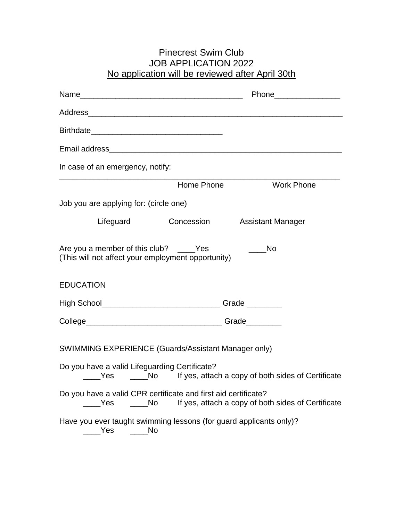## Pinecrest Swim Club JOB APPLICATION 2022 No application will be reviewed after April 30th

| In case of an emergency, notify:                                                              |            |                                                                       |
|-----------------------------------------------------------------------------------------------|------------|-----------------------------------------------------------------------|
|                                                                                               | Home Phone | <b>Work Phone</b>                                                     |
| Job you are applying for: (circle one)                                                        |            |                                                                       |
| Lifeguard Concession                                                                          |            | <b>Assistant Manager</b>                                              |
| Are you a member of this club? _____Yes<br>(This will not affect your employment opportunity) |            | No                                                                    |
| <b>EDUCATION</b>                                                                              |            |                                                                       |
|                                                                                               |            |                                                                       |
|                                                                                               |            |                                                                       |
| SWIMMING EXPERIENCE (Guards/Assistant Manager only)                                           |            |                                                                       |
| Do you have a valid Lifeguarding Certificate?                                                 |            | _____Yes _______No lf yes, attach a copy of both sides of Certificate |
| Do you have a valid CPR certificate and first aid certificate?<br>Yes<br>No                   |            | If yes, attach a copy of both sides of Certificate                    |
| Have you ever taught swimming lessons (for guard applicants only)?<br>Yes<br>No               |            |                                                                       |